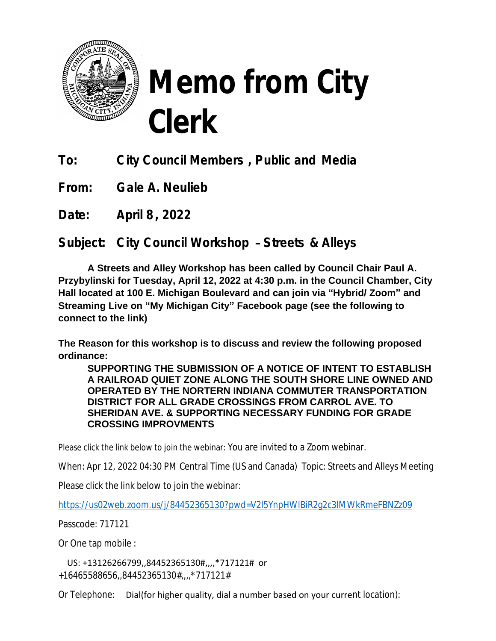

## **Memo from City Clerk**

**To: City Council Members , Public and Media**

**From: Gale A. Neulieb**

**Date: April 8, 2022**

**Subject: City Council Workshop** – **Streets & Alleys**

**A Streets and Alley Workshop has been called by Council Chair Paul A. Przybylinski for Tuesday, April 12, 2022 at 4:30 p.m. in the Council Chamber, City Hall located at 100 E. Michigan Boulevard and can join via "Hybrid/ Zoom" and Streaming Live on "My Michigan City" Facebook page (see the following to connect to the link)**

**The Reason for this workshop is to discuss and review the following proposed ordinance:**

**SUPPORTING THE SUBMISSION OF A NOTICE OF INTENT TO ESTABLISH A RAILROAD QUIET ZONE ALONG THE SOUTH SHORE LINE OWNED AND OPERATED BY THE NORTERN INDIANA COMMUTER TRANSPORTATION DISTRICT FOR ALL GRADE CROSSINGS FROM CARROL AVE. TO SHERIDAN AVE. & SUPPORTING NECESSARY FUNDING FOR GRADE CROSSING IMPROVMENTS**

Please click the link below to join the webinar: You are invited to a Zoom webinar.

When: Apr 12, 2022 04:30 PM Central Time (US and Canada) Topic: Streets and Alleys Meeting

Please click the link below to join the webinar:

<https://us02web.zoom.us/j/84452365130?pwd=V2l5YnpHWlBiR2g2c3lMWkRmeFBNZz09>

[Passcode: 717121](https://us02web.zoom.us/j/84452365130?pwd=V2l5YnpHWlBiR2g2c3lMWkRmeFBNZz09)

[Or One tap mobile :](https://us02web.zoom.us/j/84452365130?pwd=V2l5YnpHWlBiR2g2c3lMWkRmeFBNZz09)

 [US: +13126266799,,84452365130#,,,,\\*717121# or](https://us02web.zoom.us/j/84452365130?pwd=V2l5YnpHWlBiR2g2c3lMWkRmeFBNZz09)  [+16465588656,,84452365130#,,,,\\*717121#](https://us02web.zoom.us/j/84452365130?pwd=V2l5YnpHWlBiR2g2c3lMWkRmeFBNZz09) 

[Or Telephone:](https://us02web.zoom.us/j/84452365130?pwd=V2l5YnpHWlBiR2g2c3lMWkRmeFBNZz09) [Dial\(for higher quality, dial a number based on your curre](https://us02web.zoom.us/j/84452365130?pwd=V2l5YnpHWlBiR2g2c3lMWkRmeFBNZz09)[nt location\):](https://us02web.zoom.us/j/84452365130?pwd=V2l5YnpHWlBiR2g2c3lMWkRmeFBNZz09)